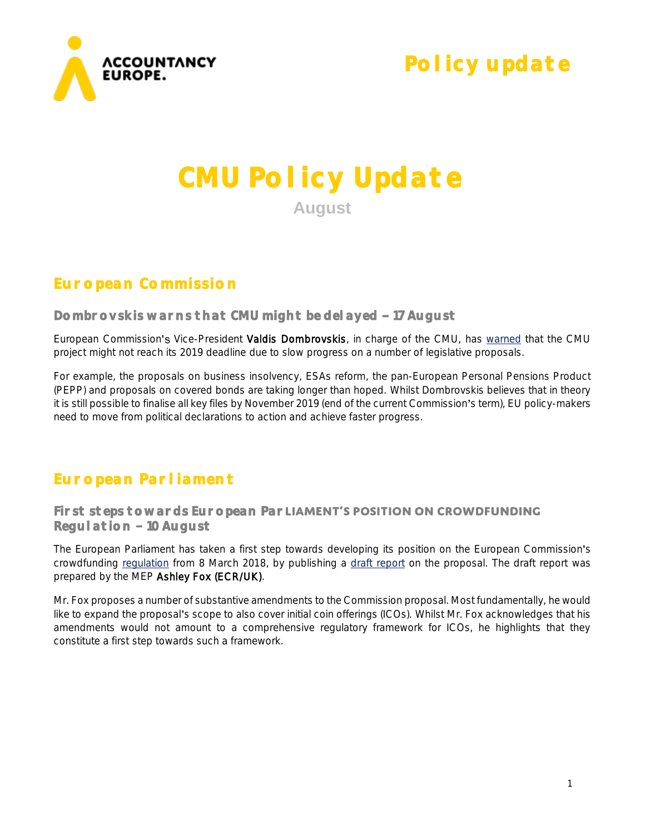

## **Policy update**

# **CMU Policy Update August**

## **European Commission**

#### Dombrovskis warns that CMU might be del ayed - 17 August

European Commission's Vice-President Valdis Dombrovskis, in charge of the CMU, has [warned](https://www.ft.com/content/937c4388-90a4-11e8-bb8f-a6a2f7bca546) that the CMU project might not reach its 2019 deadline due to slow progress on a number of legislative proposals.

For example, the proposals on business insolvency, ESAs reform, the pan-European Personal Pensions Product (PEPP) and proposals on covered bonds are taking longer than hoped. Whilst Dombrovskis believes that in theory it is still possible to finalise all key files by November 2019 (end of the current Commission's term), EU policy-makers need to move from political declarations to action and achieve faster progress.

## **European Parliament**

#### First steps towards European Par**LIAMENT'S POSITION ON CROWDFUNDING Regulation 10 August**

The European Parliament has taken a first step towards developing its position on the European Commission's crowdfunding [regulation](http://www.europarl.europa.eu/RegData/docs_autres_institutions/commission_europeenne/com/2018/0113/COM_COM(2018)0113_EN.pdf) from 8 March 2018, by publishing a [draft report](http://www.europarl.europa.eu/sides/getDoc.do?pubRef=-//EP//NONSGML+COMPARL+PE-626.662+02+DOC+PDF+V0//EN&language=EN) on the proposal. The draft report was prepared by the MEP Ashley Fox (ECR/UK).

Mr. Fox proposes a number of substantive amendments to the Commission proposal. Most fundamentally, he would like to expand the proposal's scope to also cover initial coin offerings (ICOs). Whilst Mr. Fox acknowledges that his amendments would not amount to a comprehensive regulatory framework for ICOs, he highlights that they constitute a first step towards such a framework.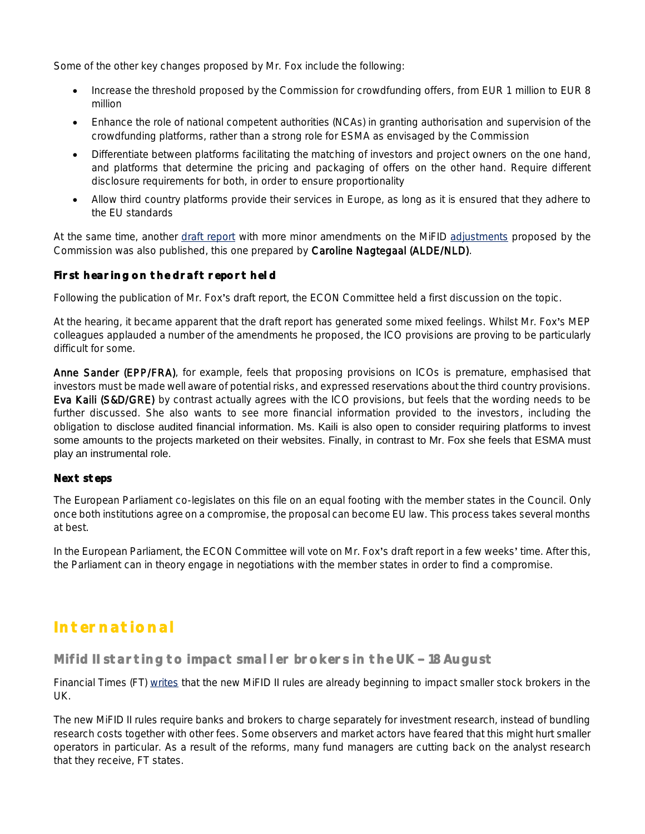Some of the other key changes proposed by Mr. Fox include the following:

- Increase the threshold proposed by the Commission for crowdfunding offers, from EUR 1 million to EUR 8 million
- Enhance the role of national competent authorities (NCAs) in granting authorisation and supervision of the crowdfunding platforms, rather than a strong role for ESMA as envisaged by the Commission
- Differentiate between platforms facilitating the matching of investors and project owners on the one hand, and platforms that determine the pricing and packaging of offers on the other hand. Require different disclosure requirements for both, in order to ensure proportionality
- Allow third country platforms provide their services in Europe, as long as it is ensured that they adhere to the EU standards

At the same time, another [draft report](http://www.europarl.europa.eu/sides/getDoc.do?pubRef=-//EP//NONSGML+COMPARL+PE-625.579+01+DOC+PDF+V0//EN&language=EN) with more minor amendments on the MiFID [adjustments](http://www.europarl.europa.eu/RegData/docs_autres_institutions/commission_europeenne/com/2018/0099/COM_COM(2018)0099_EN.pdf) proposed by the Commission was also published, this one prepared by Caroline Nagtegaal (ALDE/NLD).

#### **First hearing on the draft report held**

Following the publication of Mr. Fox's draft report, the ECON Committee held a first discussion on the topic.

At the hearing, it became apparent that the draft report has generated some mixed feelings. Whilst Mr. Fox's MEP colleagues applauded a number of the amendments he proposed, the ICO provisions are proving to be particularly difficult for some.

Anne Sander (EPP/FRA), for example, feels that proposing provisions on ICOs is premature, emphasised that investors must be made well aware of potential risks, and expressed reservations about the third country provisions. Eva Kaili (S&D/GRE) by contrast actually agrees with the ICO provisions, but feels that the wording needs to be further discussed. She also wants to see more financial information provided to the investors, including the obligation to disclose audited financial information. Ms. Kaili is also open to consider requiring platforms to invest some amounts to the projects marketed on their websites. Finally, in contrast to Mr. Fox she feels that ESMA must play an instrumental role.

#### **Next steps**

The European Parliament co-legislates on this file on an equal footing with the member states in the Council. Only once both institutions agree on a compromise, the proposal can become EU law. This process takes several months at best.

In the European Parliament, the ECON Committee will vote on Mr. Fox's draft report in a few weeks' time. After this, the Parliament can in theory engage in negotiations with the member states in order to find a compromise.

## **International**

Mifid II starting to impact smaller brokers in the UK - 18 August

Financial Times (FT) [writes](https://www.ft.com/content/e0fde656-9c76-11e8-9702-5946bae86e6d) that the new MiFID II rules are already beginning to impact smaller stock brokers in the UK.

The new MiFID II rules require banks and brokers to charge separately for investment research, instead of bundling research costs together with other fees. Some observers and market actors have feared that this might hurt smaller operators in particular. As a result of the reforms, many fund managers are cutting back on the analyst research that they receive, FT states.